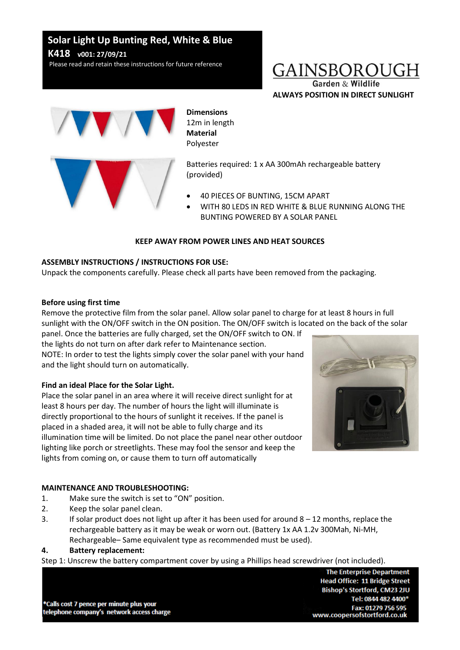# **Solar Light Up Bunting Red, White & Blue K418 v001: 27/09/21**

Please read and retain these instructions for future reference

# GAINSBOROUGH

Garden & Wildlife **ALWAYS POSITION IN DIRECT SUNLIGHT**



# **Dimensions**

12m in length **Material** Polyester

Batteries required: 1 x AA 300mAh rechargeable battery (provided)

- 40 PIECES OF BUNTING, 15CM APART
- WITH 80 LEDS IN RED WHITE & BLUE RUNNING ALONG THE BUNTING POWERED BY A SOLAR PANEL

## **KEEP AWAY FROM POWER LINES AND HEAT SOURCES**

### **ASSEMBLY INSTRUCTIONS / INSTRUCTIONS FOR USE:**

Unpack the components carefully. Please check all parts have been removed from the packaging.

### **Before using first time**

Remove the protective film from the solar panel. Allow solar panel to charge for at least 8 hours in full sunlight with the ON/OFF switch in the ON position. The ON/OFF switch is located on the back of the solar panel. Once the batteries are fully charged, set the ON/OFF switch to ON. If

the lights do not turn on after dark refer to Maintenance section. NOTE: In order to test the lights simply cover the solar panel with your hand and the light should turn on automatically.

# **Find an ideal Place for the Solar Light.**

Place the solar panel in an area where it will receive direct sunlight for at least 8 hours per day. The number of hours the light will illuminate is directly proportional to the hours of sunlight it receives. If the panel is placed in a shaded area, it will not be able to fully charge and its illumination time will be limited. Do not place the panel near other outdoor lighting like porch or streetlights. These may fool the sensor and keep the lights from coming on, or cause them to turn off automatically



# **MAINTENANCE AND TROUBLESHOOTING:**

- 1. Make sure the switch is set to "ON" position.
- 2. Keep the solar panel clean.
- 3. If solar product does not light up after it has been used for around 8 12 months, replace the rechargeable battery as it may be weak or worn out. (Battery 1x AA 1.2v 300Mah, Ni-MH, Rechargeable– Same equivalent type as recommended must be used).

### **4. Battery replacement:**

Step 1: Unscrew the battery compartment cover by using a Phillips head screwdriver (not included).

\*Calls cost 7 pence per minute plus your telephone company's network access charge

**The Enterprise Department Head Office: 11 Bridge Street** Bishop's Stortford, CM23 2JU Tel: 0844 482 4400\* Fax: 01279 756 595 www.coopersofstortford.co.uk